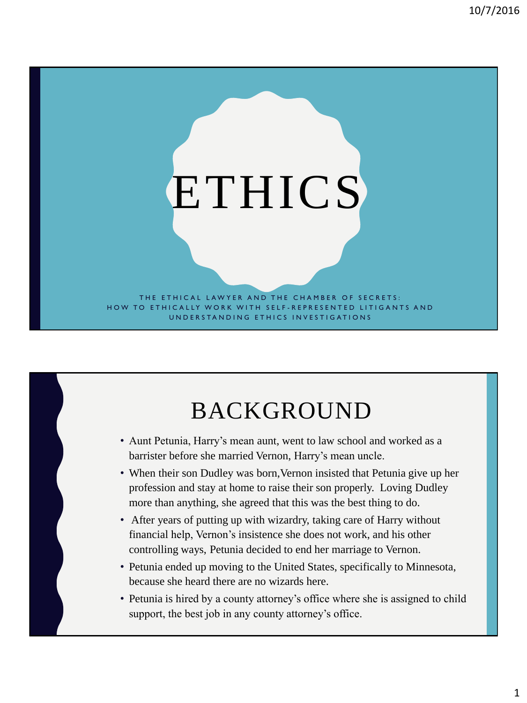# **ETHICS**

THE ETHICAL LAWYER AND THE CHAMBER OF SECRETS: HOW TO ETHICALLY WORK WITH SELF-REPRESENTED LITIGANTS AND UNDERSTANDING ETHICS INVESTIGATIONS

### BACKGROUND

- Aunt Petunia, Harry's mean aunt, went to law school and worked as a barrister before she married Vernon, Harry's mean uncle.
- When their son Dudley was born,Vernon insisted that Petunia give up her profession and stay at home to raise their son properly. Loving Dudley more than anything, she agreed that this was the best thing to do.
- After years of putting up with wizardry, taking care of Harry without financial help, Vernon's insistence she does not work, and his other controlling ways, Petunia decided to end her marriage to Vernon.
- Petunia ended up moving to the United States, specifically to Minnesota, because she heard there are no wizards here.
- Petunia is hired by a county attorney's office where she is assigned to child support, the best job in any county attorney's office.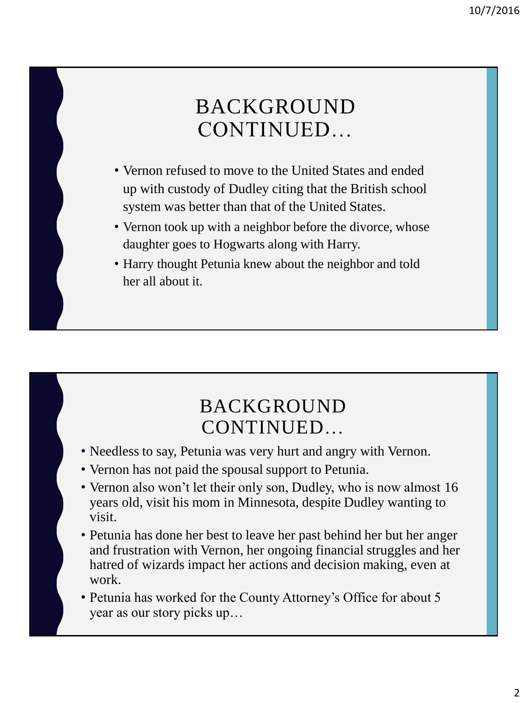#### BACKGROUND CONTINUED…

- Vernon refused to move to the United States and ended up with custody of Dudley citing that the British school system was better than that of the United States.
- Vernon took up with a neighbor before the divorce, whose daughter goes to Hogwarts along with Harry.
- Harry thought Petunia knew about the neighbor and told her all about it.

#### BACKGROUND CONTINUED…

- Needless to say, Petunia was very hurt and angry with Vernon.
- Vernon has not paid the spousal support to Petunia.
- Vernon also won't let their only son, Dudley, who is now almost 16 years old, visit his mom in Minnesota, despite Dudley wanting to visit.
- Petunia has done her best to leave her past behind her but her anger and frustration with Vernon, her ongoing financial struggles and her hatred of wizards impact her actions and decision making, even at work.

• Petunia has worked for the County Attorney's Office for about 5 year as our story picks up…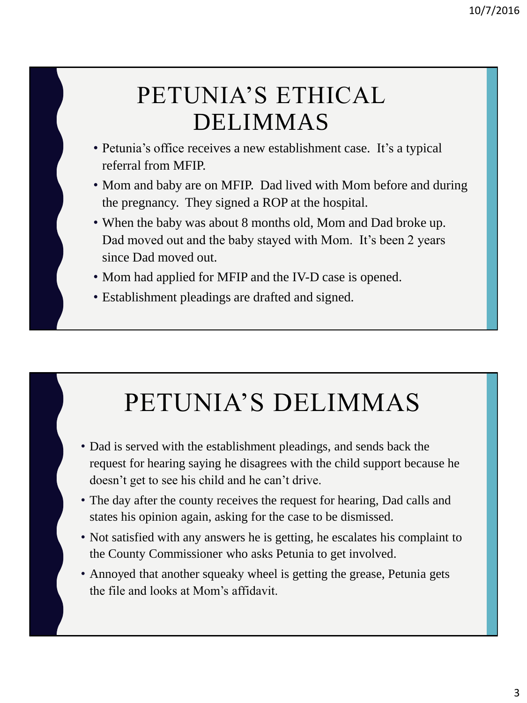### PETUNIA'S ETHICAL DELIMMAS

- Petunia's office receives a new establishment case. It's a typical referral from MFIP.
- Mom and baby are on MFIP. Dad lived with Mom before and during the pregnancy. They signed a ROP at the hospital.
- When the baby was about 8 months old, Mom and Dad broke up. Dad moved out and the baby stayed with Mom. It's been 2 years since Dad moved out.
- Mom had applied for MFIP and the IV-D case is opened.
- Establishment pleadings are drafted and signed.

# PETUNIA'S DELIMMAS

- Dad is served with the establishment pleadings, and sends back the request for hearing saying he disagrees with the child support because he doesn't get to see his child and he can't drive.
- The day after the county receives the request for hearing, Dad calls and states his opinion again, asking for the case to be dismissed.
- Not satisfied with any answers he is getting, he escalates his complaint to the County Commissioner who asks Petunia to get involved.
- Annoyed that another squeaky wheel is getting the grease, Petunia gets the file and looks at Mom's affidavit.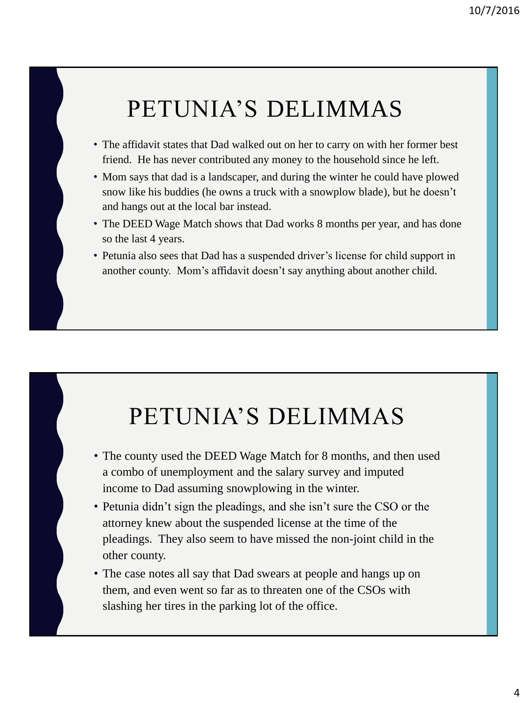### PETUNIA'S DELIMMAS

- The affidavit states that Dad walked out on her to carry on with her former best friend. He has never contributed any money to the household since he left.
- Mom says that dad is a landscaper, and during the winter he could have plowed snow like his buddies (he owns a truck with a snowplow blade), but he doesn't and hangs out at the local bar instead.
- The DEED Wage Match shows that Dad works 8 months per year, and has done so the last 4 years.
- Petunia also sees that Dad has a suspended driver's license for child support in another county. Mom's affidavit doesn't say anything about another child.

#### PETUNIA'S DELIMMAS

- The county used the DEED Wage Match for 8 months, and then used a combo of unemployment and the salary survey and imputed income to Dad assuming snowplowing in the winter.
- Petunia didn't sign the pleadings, and she isn't sure the CSO or the attorney knew about the suspended license at the time of the pleadings. They also seem to have missed the non-joint child in the other county.
- The case notes all say that Dad swears at people and hangs up on them, and even went so far as to threaten one of the CSOs with slashing her tires in the parking lot of the office.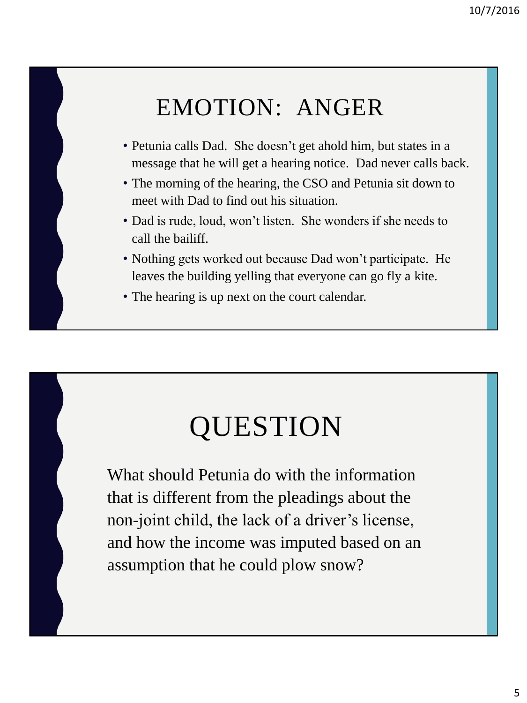### EMOTION: ANGER

- Petunia calls Dad. She doesn't get ahold him, but states in a message that he will get a hearing notice. Dad never calls back.
- The morning of the hearing, the CSO and Petunia sit down to meet with Dad to find out his situation.
- Dad is rude, loud, won't listen. She wonders if she needs to call the bailiff.
- Nothing gets worked out because Dad won't participate. He leaves the building yelling that everyone can go fly a kite.
- The hearing is up next on the court calendar.

# QUESTION

What should Petunia do with the information that is different from the pleadings about the non-joint child, the lack of a driver's license, and how the income was imputed based on an assumption that he could plow snow?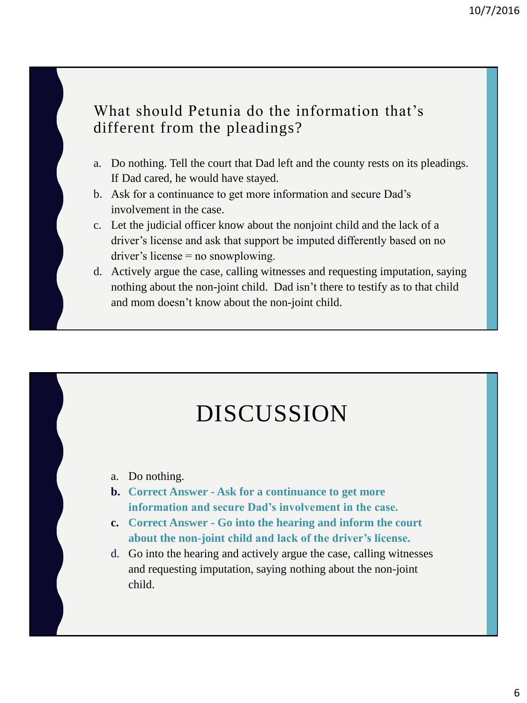#### What should Petunia do the information that's different from the pleadings?

- a. Do nothing. Tell the court that Dad left and the county rests on its pleadings. If Dad cared, he would have stayed.
- b. Ask for a continuance to get more information and secure Dad's involvement in the case.
- c. Let the judicial officer know about the nonjoint child and the lack of a driver's license and ask that support be imputed differently based on no driver's license = no snowplowing.
- d. Actively argue the case, calling witnesses and requesting imputation, saying nothing about the non-joint child. Dad isn't there to testify as to that child and mom doesn't know about the non-joint child.

### DISCUSSION

- a. Do nothing.
- **b. Correct Answer - Ask for a continuance to get more information and secure Dad's involvement in the case.**
- **c. Correct Answer - Go into the hearing and inform the court about the non-joint child and lack of the driver's license.**
- d. Go into the hearing and actively argue the case, calling witnesses and requesting imputation, saying nothing about the non-joint child.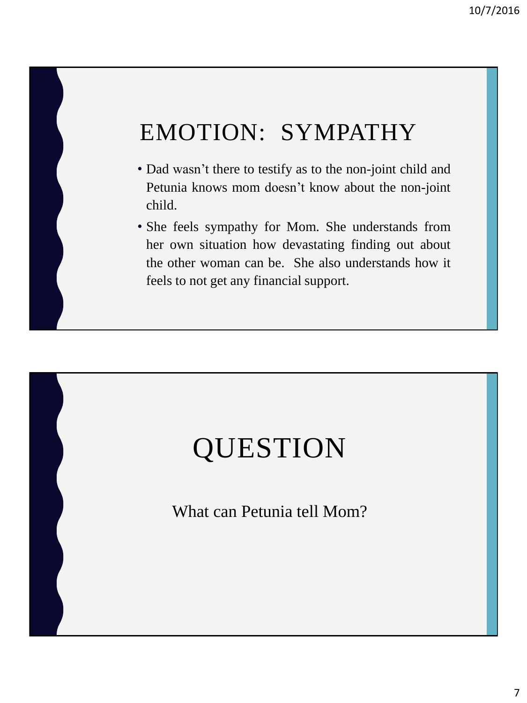### EMOTION: SYMPATHY

- Dad wasn't there to testify as to the non-joint child and Petunia knows mom doesn't know about the non-joint child.
- She feels sympathy for Mom. She understands from her own situation how devastating finding out about the other woman can be. She also understands how it feels to not get any financial support.

# QUESTION

What can Petunia tell Mom?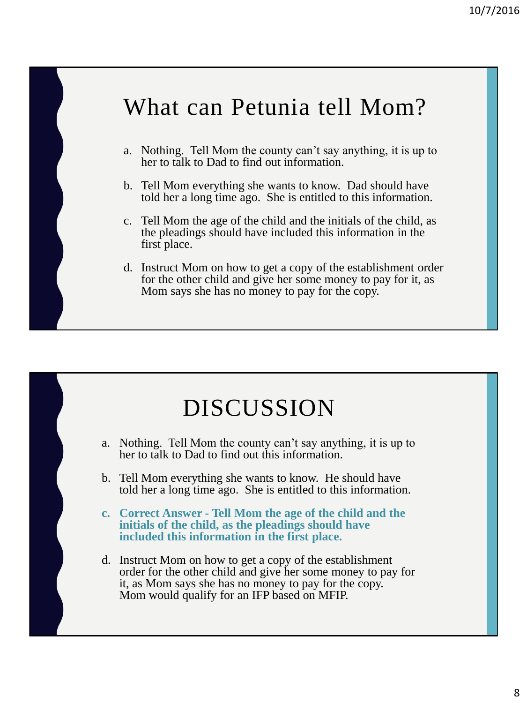#### What can Petunia tell Mom?

- a. Nothing. Tell Mom the county can't say anything, it is up to her to talk to Dad to find out information.
- b. Tell Mom everything she wants to know. Dad should have told her a long time ago. She is entitled to this information.
- c. Tell Mom the age of the child and the initials of the child, as the pleadings should have included this information in the first place.
- d. Instruct Mom on how to get a copy of the establishment order for the other child and give her some money to pay for it, as Mom says she has no money to pay for the copy.

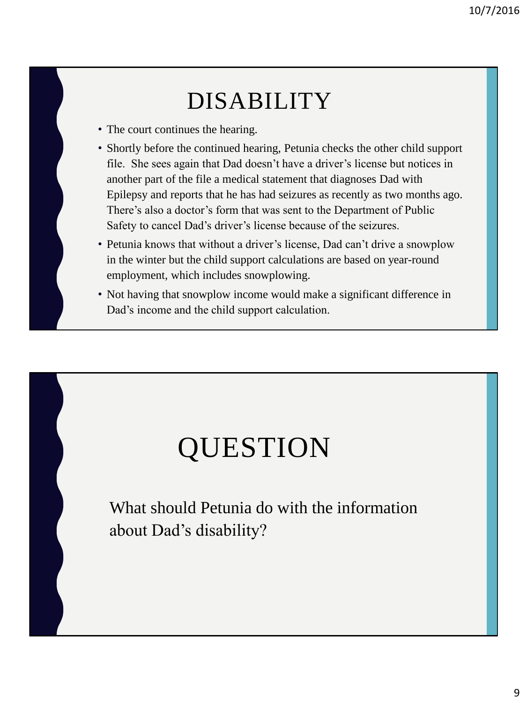#### DISABILITY

- The court continues the hearing.
- Shortly before the continued hearing, Petunia checks the other child support file. She sees again that Dad doesn't have a driver's license but notices in another part of the file a medical statement that diagnoses Dad with Epilepsy and reports that he has had seizures as recently as two months ago. There's also a doctor's form that was sent to the Department of Public Safety to cancel Dad's driver's license because of the seizures.
- Petunia knows that without a driver's license, Dad can't drive a snowplow in the winter but the child support calculations are based on year-round employment, which includes snowplowing.
- Not having that snowplow income would make a significant difference in Dad's income and the child support calculation.

# QUESTION

What should Petunia do with the information about Dad's disability?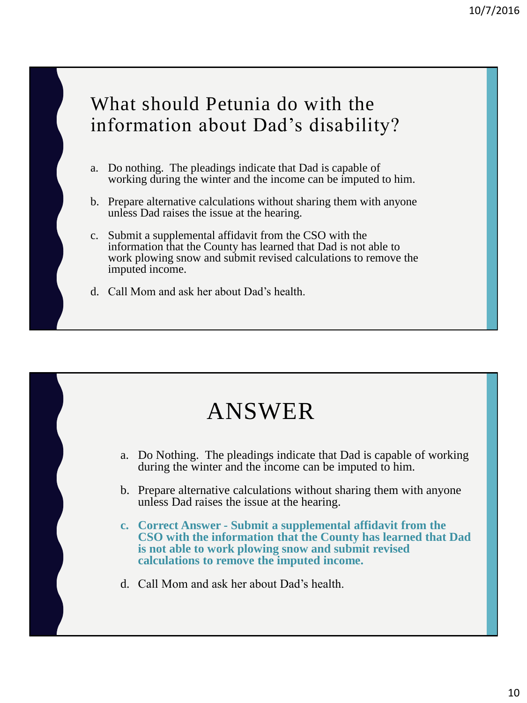#### What should Petunia do with the information about Dad's disability?

- a. Do nothing. The pleadings indicate that Dad is capable of working during the winter and the income can be imputed to him.
- b. Prepare alternative calculations without sharing them with anyone unless Dad raises the issue at the hearing.
- c. Submit a supplemental affidavit from the CSO with the information that the County has learned that Dad is not able to work plowing snow and submit revised calculations to remove the imputed income.
- d. Call Mom and ask her about Dad's health.

#### ANSWER

- a. Do Nothing. The pleadings indicate that Dad is capable of working during the winter and the income can be imputed to him.
- b. Prepare alternative calculations without sharing them with anyone unless Dad raises the issue at the hearing.
- **c. Correct Answer - Submit a supplemental affidavit from the CSO with the information that the County has learned that Dad is not able to work plowing snow and submit revised calculations to remove the imputed income.**
- d. Call Mom and ask her about Dad's health.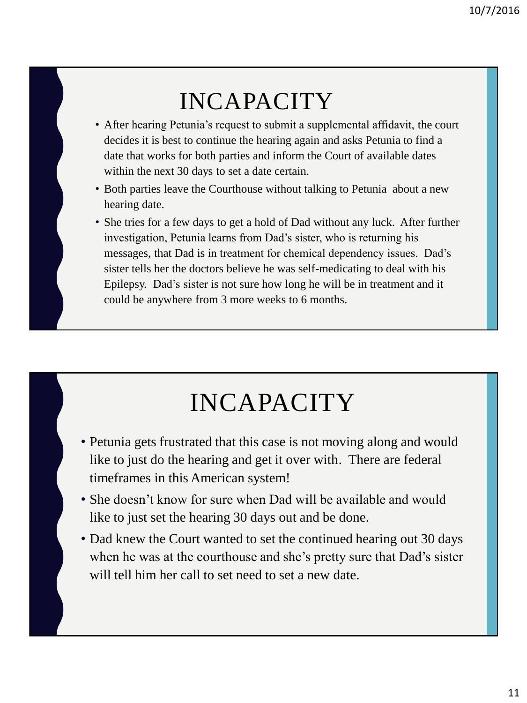### INCAPACITY

- After hearing Petunia's request to submit a supplemental affidavit, the court decides it is best to continue the hearing again and asks Petunia to find a date that works for both parties and inform the Court of available dates within the next 30 days to set a date certain.
- Both parties leave the Courthouse without talking to Petunia about a new hearing date.
- She tries for a few days to get a hold of Dad without any luck. After further investigation, Petunia learns from Dad's sister, who is returning his messages, that Dad is in treatment for chemical dependency issues. Dad's sister tells her the doctors believe he was self-medicating to deal with his Epilepsy. Dad's sister is not sure how long he will be in treatment and it could be anywhere from 3 more weeks to 6 months.

## INCAPACITY

- Petunia gets frustrated that this case is not moving along and would like to just do the hearing and get it over with. There are federal timeframes in this American system!
- She doesn't know for sure when Dad will be available and would like to just set the hearing 30 days out and be done.
- Dad knew the Court wanted to set the continued hearing out 30 days when he was at the courthouse and she's pretty sure that Dad's sister will tell him her call to set need to set a new date.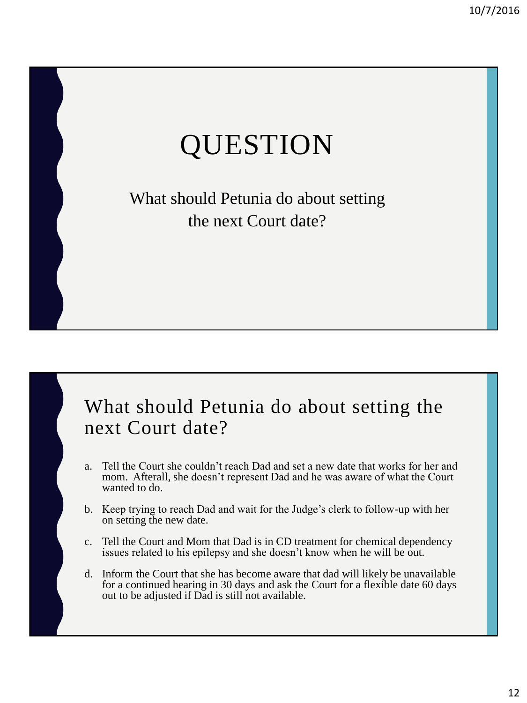# QUESTION

What should Petunia do about setting the next Court date?

#### What should Petunia do about setting the next Court date?

- a. Tell the Court she couldn't reach Dad and set a new date that works for her and mom. Afterall, she doesn't represent Dad and he was aware of what the Court wanted to do.
- b. Keep trying to reach Dad and wait for the Judge's clerk to follow-up with her on setting the new date.
- c. Tell the Court and Mom that Dad is in CD treatment for chemical dependency issues related to his epilepsy and she doesn't know when he will be out.
- d. Inform the Court that she has become aware that dad will likely be unavailable for a continued hearing in 30 days and ask the Court for a flexible date 60 days out to be adjusted if Dad is still not available.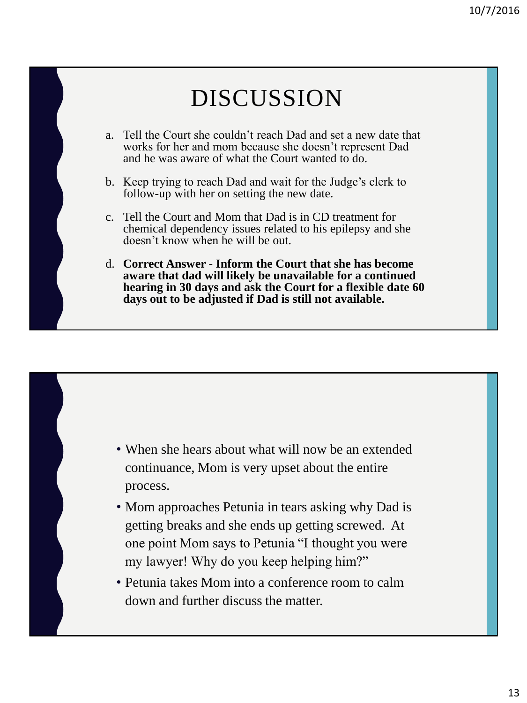### DISCUSSION

- a. Tell the Court she couldn't reach Dad and set a new date that works for her and mom because she doesn't represent Dad and he was aware of what the Court wanted to do.
- b. Keep trying to reach Dad and wait for the Judge's clerk to follow-up with her on setting the new date.
- c. Tell the Court and Mom that Dad is in CD treatment for chemical dependency issues related to his epilepsy and she doesn't know when he will be out.
- d. **Correct Answer - Inform the Court that she has become aware that dad will likely be unavailable for a continued hearing in 30 days and ask the Court for a flexible date 60 days out to be adjusted if Dad is still not available.**

- When she hears about what will now be an extended continuance, Mom is very upset about the entire process.
- Mom approaches Petunia in tears asking why Dad is getting breaks and she ends up getting screwed. At one point Mom says to Petunia "I thought you were my lawyer! Why do you keep helping him?"
- Petunia takes Mom into a conference room to calm down and further discuss the matter.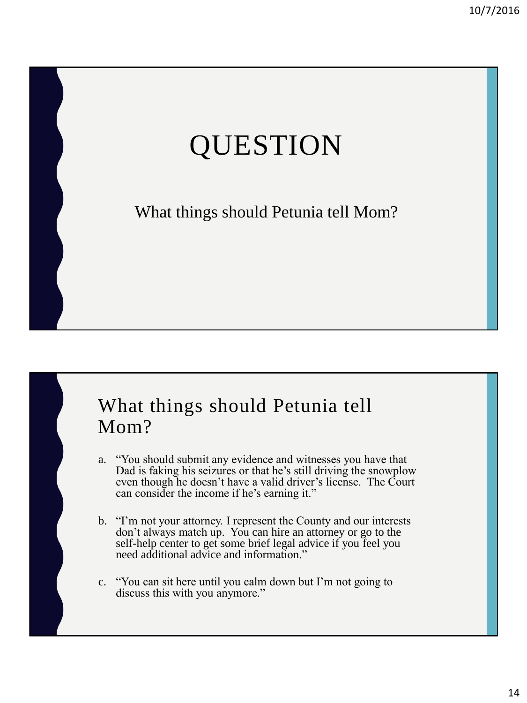# QUESTION

What things should Petunia tell Mom?

#### What things should Petunia tell Mom?

- a. "You should submit any evidence and witnesses you have that Dad is faking his seizures or that he's still driving the snowplow even though he doesn't have a valid driver's license. The Court can consider the income if he's earning it."
- b. "I'm not your attorney. I represent the County and our interests don't always match up. You can hire an attorney or go to the self-help center to get some brief legal advice if you feel you need additional advice and information."
- c. "You can sit here until you calm down but I'm not going to discuss this with you anymore."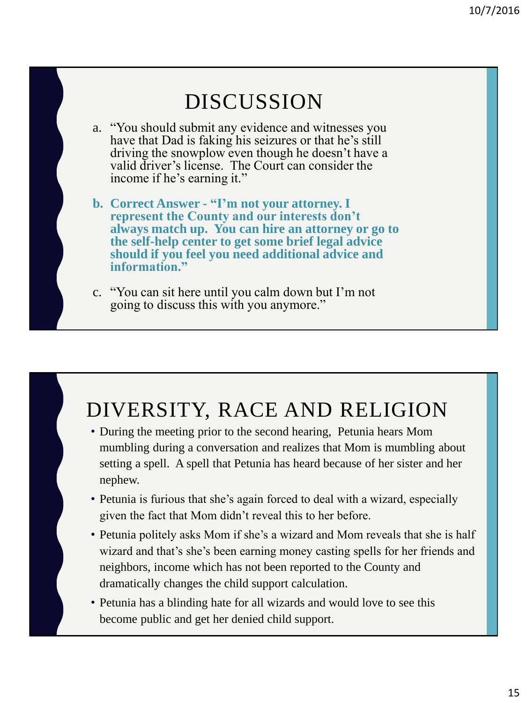

#### DIVERSITY, RACE AND RELIGION

- During the meeting prior to the second hearing, Petunia hears Mom mumbling during a conversation and realizes that Mom is mumbling about setting a spell. A spell that Petunia has heard because of her sister and her nephew.
- Petunia is furious that she's again forced to deal with a wizard, especially given the fact that Mom didn't reveal this to her before.
- Petunia politely asks Mom if she's a wizard and Mom reveals that she is half wizard and that's she's been earning money casting spells for her friends and neighbors, income which has not been reported to the County and dramatically changes the child support calculation.
- Petunia has a blinding hate for all wizards and would love to see this become public and get her denied child support.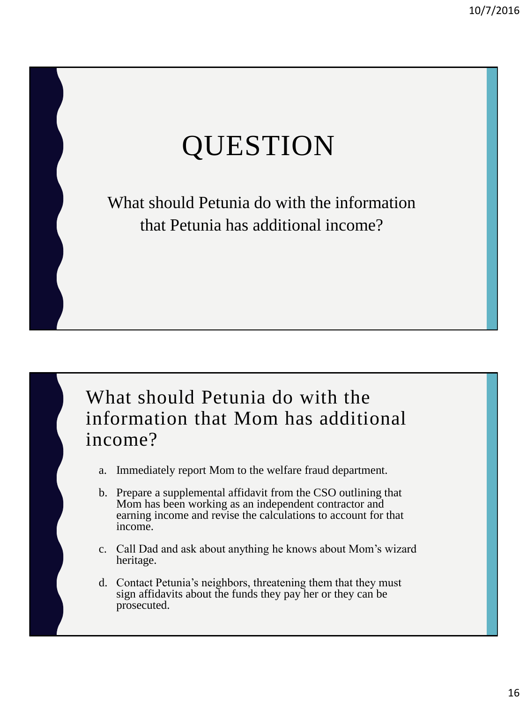# QUESTION

What should Petunia do with the information that Petunia has additional income?



- a. Immediately report Mom to the welfare fraud department.
- b. Prepare a supplemental affidavit from the CSO outlining that Mom has been working as an independent contractor and earning income and revise the calculations to account for that income.
- c. Call Dad and ask about anything he knows about Mom's wizard heritage.
- d. Contact Petunia's neighbors, threatening them that they must sign affidavits about the funds they pay her or they can be prosecuted.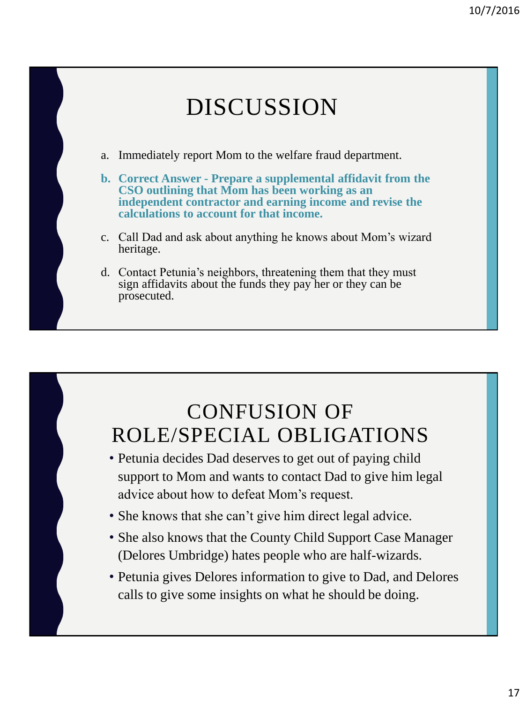### DISCUSSION

- a. Immediately report Mom to the welfare fraud department.
- **b. Correct Answer - Prepare a supplemental affidavit from the CSO outlining that Mom has been working as an independent contractor and earning income and revise the calculations to account for that income.**
- c. Call Dad and ask about anything he knows about Mom's wizard heritage.
- d. Contact Petunia's neighbors, threatening them that they must sign affidavits about the funds they pay her or they can be prosecuted.

#### CONFUSION OF ROLE/SPECIAL OBLIGATIONS

- Petunia decides Dad deserves to get out of paying child support to Mom and wants to contact Dad to give him legal advice about how to defeat Mom's request.
- She knows that she can't give him direct legal advice.
- She also knows that the County Child Support Case Manager (Delores Umbridge) hates people who are half-wizards.
- Petunia gives Delores information to give to Dad, and Delores calls to give some insights on what he should be doing.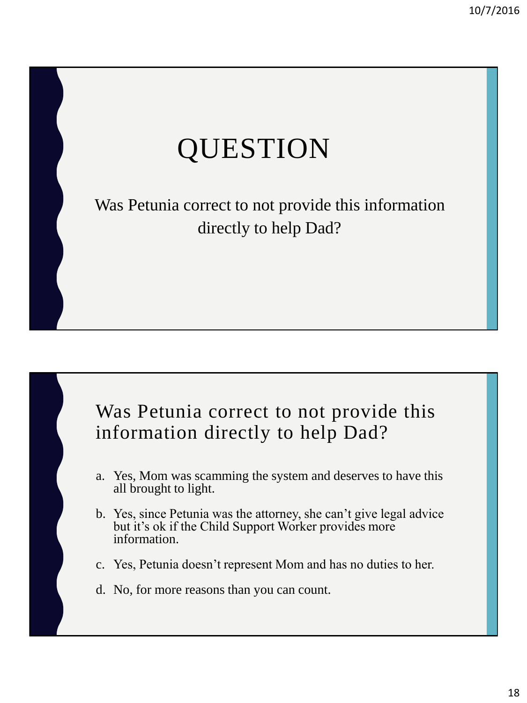# QUESTION

Was Petunia correct to not provide this information directly to help Dad?

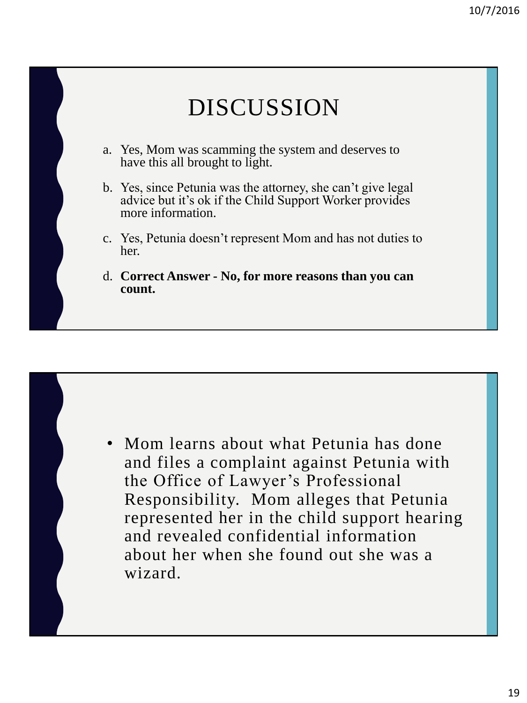#### DISCUSSION a. Yes, Mom was scamming the system and deserves to have this all brought to light. b. Yes, since Petunia was the attorney, she can't give legal advice but it's ok if the Child Support Worker provides more information. c. Yes, Petunia doesn't represent Mom and has not duties to her. d. **Correct Answer - No, for more reasons than you can count.**

• Mom learns about what Petunia has done and files a complaint against Petunia with the Office of Lawyer's Professional Responsibility. Mom alleges that Petunia represented her in the child support hearing and revealed confidential information about her when she found out she was a wizard.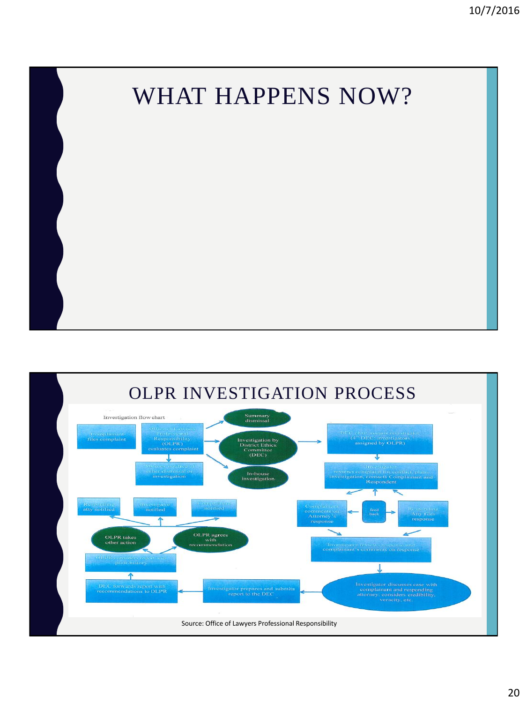

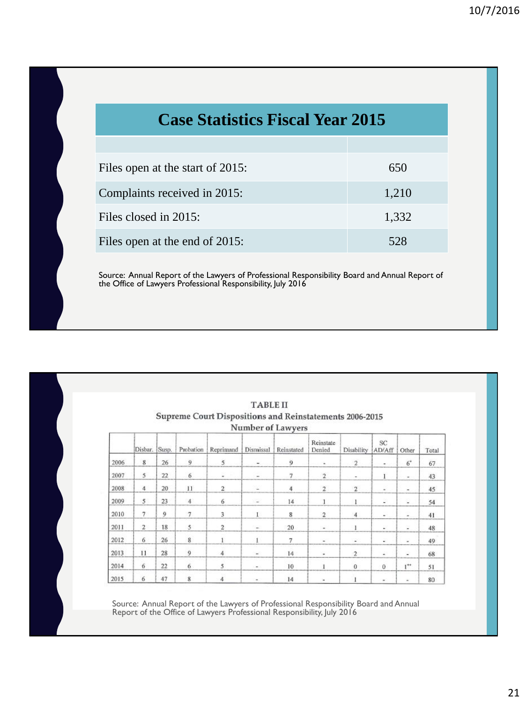| <b>Case Statistics Fiscal Year 2015</b> |       |  |  |  |
|-----------------------------------------|-------|--|--|--|
|                                         |       |  |  |  |
| Files open at the start of 2015:        | 650   |  |  |  |
| Complaints received in 2015:            | 1,210 |  |  |  |
| Files closed in 2015:                   | 1,332 |  |  |  |
| Files open at the end of 2015:          | 528   |  |  |  |

Source: Annual Report of the Lawyers of Professional Responsibility Board and Annual Report of the Office of Lawyers Professional Responsibility, July 2016

|      |                 |       |                |                                                         | <b>TABLE II</b>          |                   |                     |                     |              |                          |       |
|------|-----------------|-------|----------------|---------------------------------------------------------|--------------------------|-------------------|---------------------|---------------------|--------------|--------------------------|-------|
|      |                 |       |                | Supreme Court Dispositions and Reinstatements 2006-2015 |                          | Number of Lawyers |                     |                     |              |                          |       |
|      | Disbar.         | Susp. | Probation      | Reprimand                                               | Dismissal                | Reinstated        | Reinstate<br>Denied | Disability          | SC<br>AD/Aff | Other                    | Total |
| 2006 | $8\phantom{.}$  | 26    | $\overline{9}$ | 5                                                       | $\overline{\phantom{a}}$ | $\overline{9}$    | ٠                   | $\overline{2}$      | ۰            | $6^{\circ}$              | 67    |
| 2007 | 5               | 22    | 6              | ù.                                                      | $\sim$                   | 7                 | $\overline{2}$      | $\bar{\phantom{a}}$ | $\bf{I}$     | ×.                       | 43    |
| 2008 | $\overline{4}$  | 20    | 11             | $\overline{2}$                                          | 豪                        | 4                 | $\overline{2}$      | $\sqrt{2}$          | $\sim$       | ۰                        | 45    |
| 2009 | 5               | 23    | $\overline{4}$ | 6                                                       | ÷                        | 14                | $\mathbf{1}$        | $\mathbf{1}$        | D.           | ¥.                       | 54    |
| 2010 | 7               | 9     | $\overline{7}$ | 3                                                       | I.                       | 8                 | $\overline{2}$      | $\overline{4}$      | $\sim$       | u,                       | 41    |
| 2011 | $\overline{2}$  | 18    | 5              | $\overline{2}$                                          | $\sim$                   | 20                | $\omega$            | 1                   | g,           | ×                        | 48    |
| 2012 | 6               | 26    | $\,$ 8 $\,$    |                                                         |                          | 7                 | $\omega$            | ¥                   | ¥.           | $\overline{\phantom{a}}$ | 49    |
| 2013 | 11              | 28    | $\overline{9}$ | 4                                                       | w.                       | 14                | u.                  | $\overline{2}$      | ¥.           | W.                       | 68    |
| 2014 | $6\overline{6}$ | 22    | 6              | 5                                                       | $\sim$                   | 10                | 1                   | $\mathbf{0}$        | $^{0}$       | $I^*$                    | 51    |
| 2015 | 6               | 47    | 8              | 4                                                       | $\sim$                   | 14                | ٠                   |                     | $\bar{a}$    | $\sim$                   | 80    |

Source: Annual Report of the Lawyers of Professional Responsibility Board and Annual Report of the Office of Lawyers Professional Responsibility, July 2016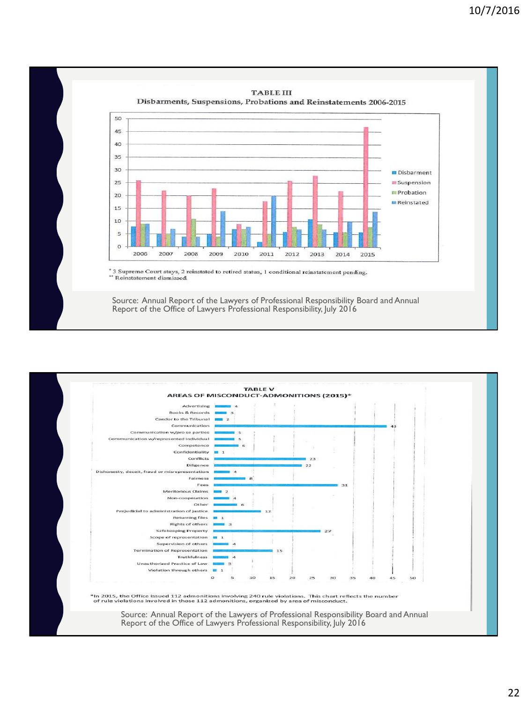

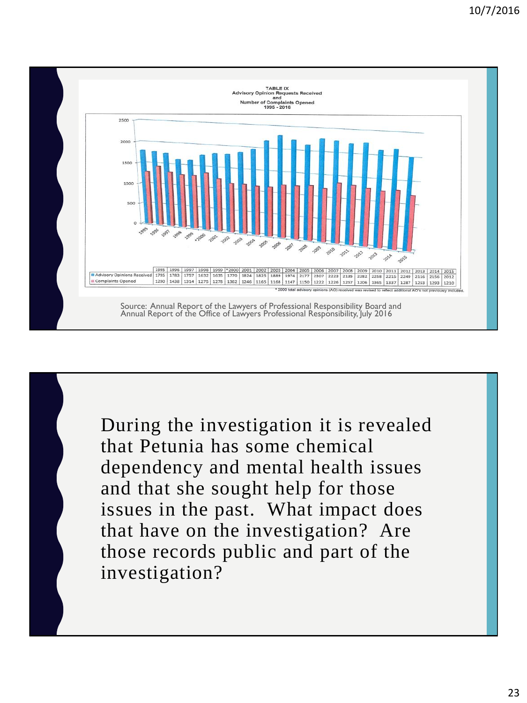

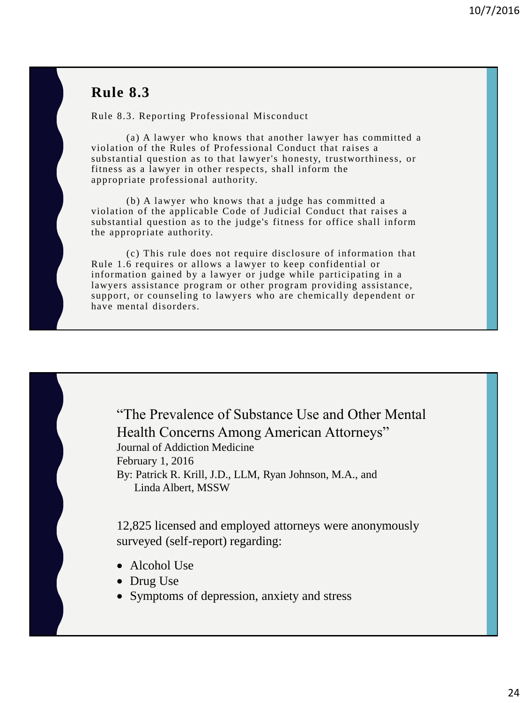#### **Rule 8.3**

Rule 8.3. Reporting Professional Misconduct

(a) A lawyer who knows that another lawyer has committed a violation of the Rules of Professional Conduct that raises a substantial question as to that lawyer's honesty, trustworthiness, or fitness as a lawyer in other respects, shall inform the appropriate professional authority.

(b) A lawyer who knows that a judge has committed a violation of the applicable Code of Judicial Conduct that raises a substantial question as to the judge's fitness for office shall inform the appropriate authority.

(c) This rule does not require disclosure of information that Rule 1.6 requires or allows a lawyer to keep confidential or information gained by a lawyer or judge while participating in a lawyers assistance program or other program providing assistance, support, or counseling to lawyers who are chemically dependent or have mental disorders.

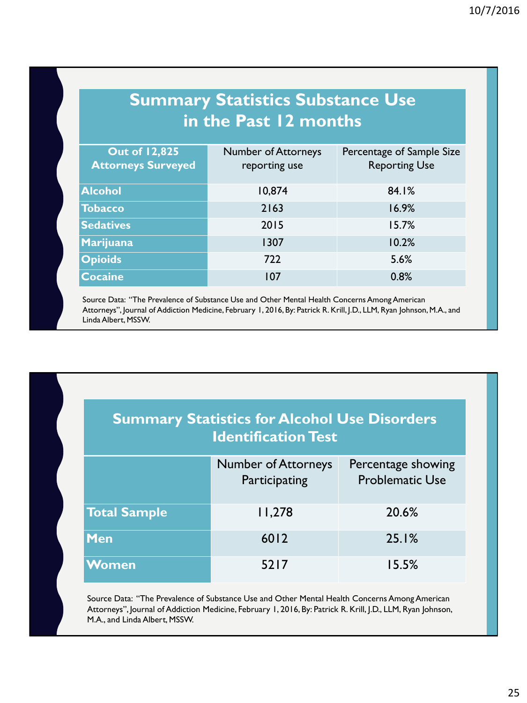#### **Summary Statistics Substance Use in the Past 12 months**

| <b>Out of 12,825</b><br><b>Attorneys Surveyed</b> | <b>Number of Attorneys</b><br>reporting use | Percentage of Sample Size<br><b>Reporting Use</b> |
|---------------------------------------------------|---------------------------------------------|---------------------------------------------------|
| <b>Alcohol</b>                                    | 10,874                                      | 84.1%                                             |
| <b>Tobacco</b>                                    | 2163                                        | 16.9%                                             |
| <b>Sedatives</b>                                  | 2015                                        | 15.7%                                             |
| Marijuana                                         | 1307                                        | 10.2%                                             |
| <b>Opioids</b>                                    | 722                                         | 5.6%                                              |
| <b>Cocaine</b>                                    | 107                                         | 0.8%                                              |

Source Data: "The Prevalence of Substance Use and Other Mental Health Concerns Among American Attorneys", Journal of Addiction Medicine, February 1, 2016, By: Patrick R. Krill, J.D., LLM, Ryan Johnson, M.A., and Linda Albert, MSSW.

| <b>Summary Statistics for Alcohol Use Disorders</b><br><b>Identification Test</b> |                                             |                                              |  |  |
|-----------------------------------------------------------------------------------|---------------------------------------------|----------------------------------------------|--|--|
|                                                                                   | <b>Number of Attorneys</b><br>Participating | Percentage showing<br><b>Problematic Use</b> |  |  |
| <b>Total Sample</b>                                                               | 11,278                                      | 20.6%                                        |  |  |
| <b>Men</b>                                                                        | 6012                                        | 25.1%                                        |  |  |
| <b>Women</b>                                                                      | 5217                                        | 15.5%                                        |  |  |

Source Data: "The Prevalence of Substance Use and Other Mental Health Concerns Among American Attorneys", Journal of Addiction Medicine, February 1, 2016, By: Patrick R. Krill, J.D., LLM, Ryan Johnson, M.A., and Linda Albert, MSSW.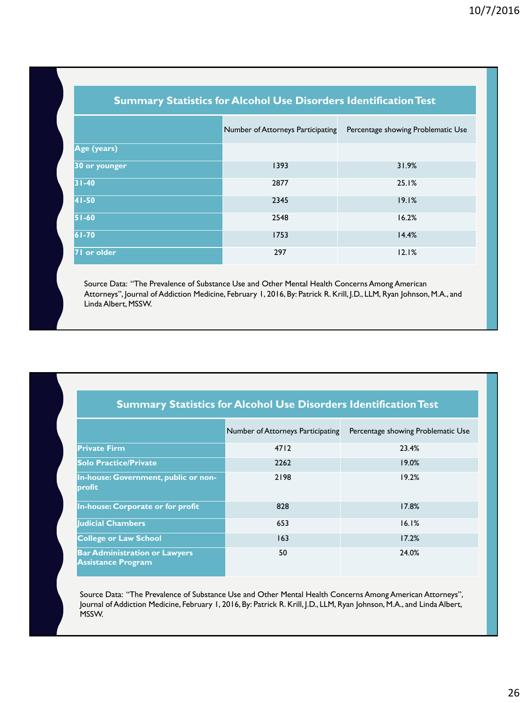| <b>Summary Statistics for Alcohol Use Disorders Identification Test</b> |                                   |                                    |  |  |  |  |
|-------------------------------------------------------------------------|-----------------------------------|------------------------------------|--|--|--|--|
|                                                                         | Number of Attorneys Participating | Percentage showing Problematic Use |  |  |  |  |
| Age (years)                                                             |                                   |                                    |  |  |  |  |
| 30 or younger                                                           | 1393                              | 31.9%                              |  |  |  |  |
| $31 - 40$                                                               | 2877                              | 25.1%                              |  |  |  |  |
| 41-50                                                                   | 2345                              | 19.1%                              |  |  |  |  |
| 51-60                                                                   | 2548                              | 16.2%                              |  |  |  |  |
| $61 - 70$                                                               | 1753                              | 14.4%                              |  |  |  |  |
| 71 or older                                                             | 297                               | 12.1%                              |  |  |  |  |

Source Data: "The Prevalence of Substance Use and Other Mental Health Concerns Among American Attorneys", Journal of Addiction Medicine, February 1, 2016, By: Patrick R. Krill, J.D., LLM, Ryan Johnson, M.A., and Linda Albert, MSSW.

#### **Summary Statistics for Alcohol Use Disorders Identification Test**

|                                                                   | Number of Attorneys Participating | Percentage showing Problematic Use |
|-------------------------------------------------------------------|-----------------------------------|------------------------------------|
| <b>Private Firm</b>                                               | 4712                              | 23.4%                              |
| <b>Solo Practice/Private</b>                                      | 2262                              | 19.0%                              |
| In-house: Government, public or non-<br>profit                    | 2198                              | 19.2%                              |
| In-house: Corporate or for profit                                 | 828                               | 17.8%                              |
| <b>Iudicial Chambers</b>                                          | 653                               | 16.1%                              |
| <b>College or Law School</b>                                      | 163                               | 17.2%                              |
| <b>Bar Administration or Lawyers</b><br><b>Assistance Program</b> | 50                                | 24.0%                              |

Source Data: "The Prevalence of Substance Use and Other Mental Health Concerns Among American Attorneys", Journal of Addiction Medicine, February 1, 2016, By: Patrick R. Krill, J.D., LLM, Ryan Johnson, M.A., and Linda Albert, MSSW.